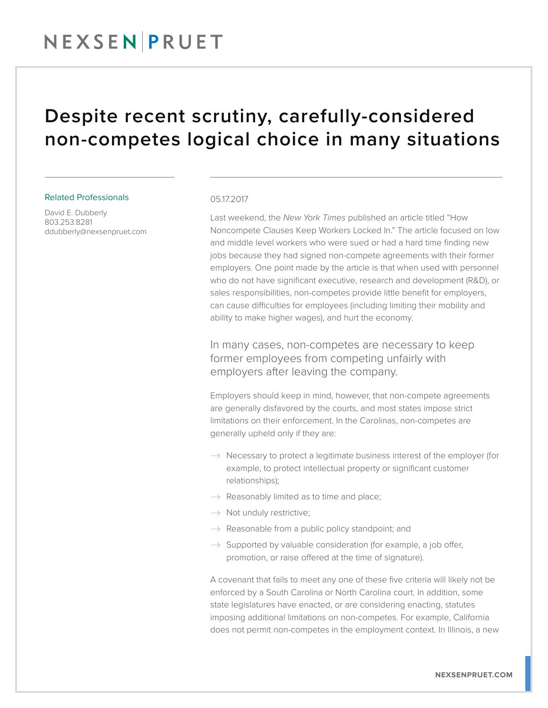## NEXSENPRUET

### Despite recent scrutiny, carefully-considered non-competes logical choice in many situations

#### Related Professionals

David E. Dubberly 803.253.8281 ddubberly@nexsenpruet.com

#### 05.17.2017

Last weekend, the *New York Times* published an article titled "How Noncompete Clauses Keep Workers Locked In." The article focused on low and middle level workers who were sued or had a hard time finding new jobs because they had signed non-compete agreements with their former employers. One point made by the article is that when used with personnel who do not have significant executive, research and development (R&D), or sales responsibilities, non-competes provide little benefit for employers, can cause difficulties for employees (including limiting their mobility and ability to make higher wages), and hurt the economy.

In many cases, non-competes are necessary to keep former employees from competing unfairly with employers after leaving the company.

Employers should keep in mind, however, that non-compete agreements are generally disfavored by the courts, and most states impose strict limitations on their enforcement. In the Carolinas, non-competes are generally upheld only if they are:

- $\rightarrow$  Necessary to protect a legitimate business interest of the employer (for example, to protect intellectual property or significant customer relationships);
- $\rightarrow$  Reasonably limited as to time and place;
- $\rightarrow$  Not unduly restrictive;
- $\rightarrow$  Reasonable from a public policy standpoint; and
- $\rightarrow$  Supported by valuable consideration (for example, a job offer, promotion, or raise offered at the time of signature).

A covenant that fails to meet any one of these five criteria will likely not be enforced by a South Carolina or North Carolina court. In addition, some state legislatures have enacted, or are considering enacting, statutes imposing additional limitations on non-competes. For example, California does not permit non-competes in the employment context. In Illinois, a new